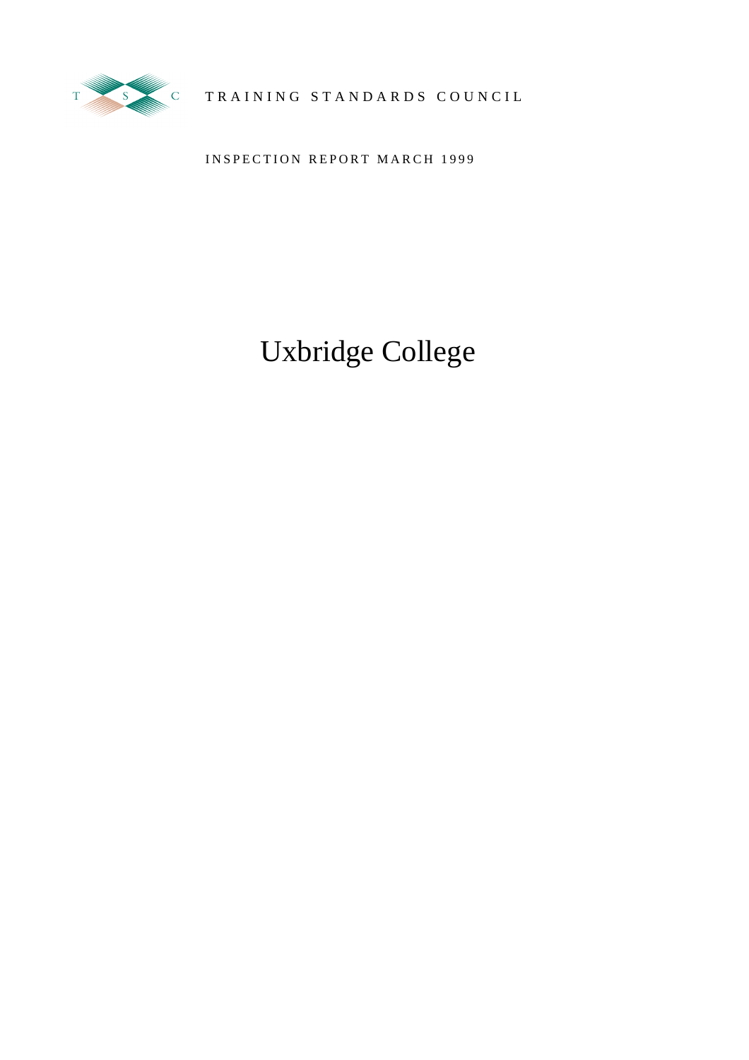

TRAINING STANDARDS COUNCIL

INSPECTION REPORT MARCH 1999

# Uxbridge College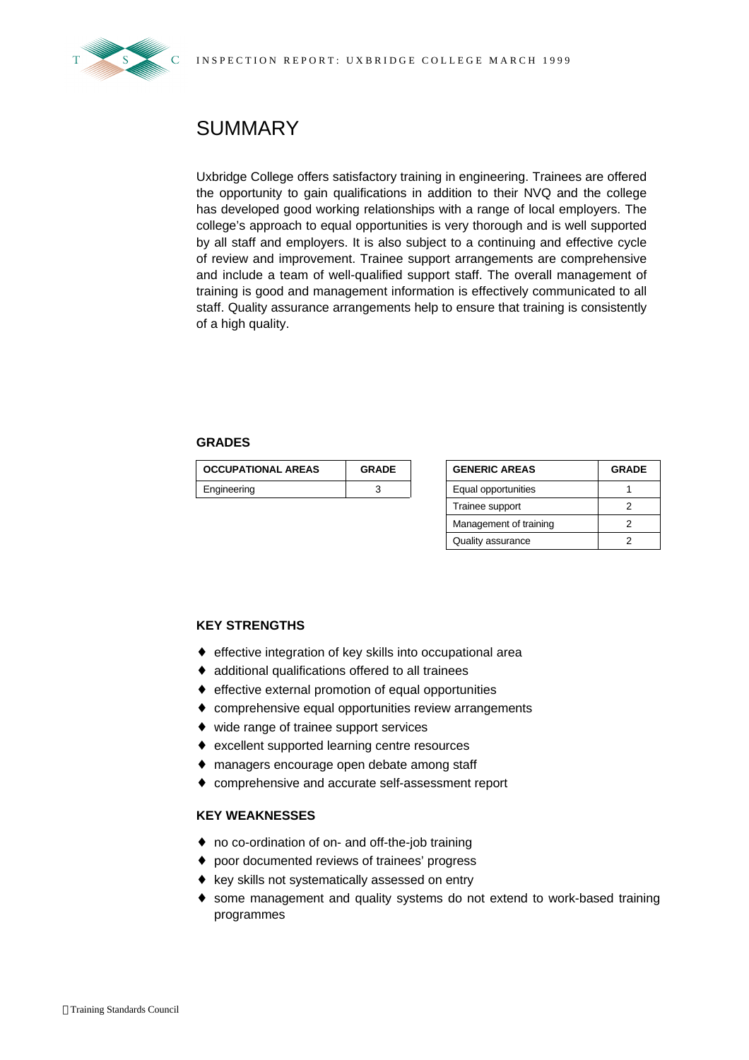

## **SUMMARY**

Uxbridge College offers satisfactory training in engineering. Trainees are offered the opportunity to gain qualifications in addition to their NVQ and the college has developed good working relationships with a range of local employers. The college's approach to equal opportunities is very thorough and is well supported by all staff and employers. It is also subject to a continuing and effective cycle of review and improvement. Trainee support arrangements are comprehensive and include a team of well-qualified support staff. The overall management of training is good and management information is effectively communicated to all staff. Quality assurance arrangements help to ensure that training is consistently of a high quality.

#### **GRADES**

| <b>OCCUPATIONAL AREAS</b> | <b>GRADE</b> | <b>GENERIC AREAS</b> | <b>GRADE</b> |
|---------------------------|--------------|----------------------|--------------|
| Engineering               |              | Equal opportunities  |              |

| <b>GENERIC AREAS</b>   | <b>GRADE</b> |  |  |
|------------------------|--------------|--|--|
| Equal opportunities    |              |  |  |
| Trainee support        |              |  |  |
| Management of training |              |  |  |
| Quality assurance      |              |  |  |

### **KEY STRENGTHS**

- ♦ effective integration of key skills into occupational area
- ♦ additional qualifications offered to all trainees
- ♦ effective external promotion of equal opportunities
- ♦ comprehensive equal opportunities review arrangements
- ♦ wide range of trainee support services
- ♦ excellent supported learning centre resources
- ♦ managers encourage open debate among staff
- ♦ comprehensive and accurate self-assessment report

#### **KEY WEAKNESSES**

- ♦ no co-ordination of on- and off-the-job training
- ♦ poor documented reviews of trainees' progress
- ♦ key skills not systematically assessed on entry
- ♦ some management and quality systems do not extend to work-based training programmes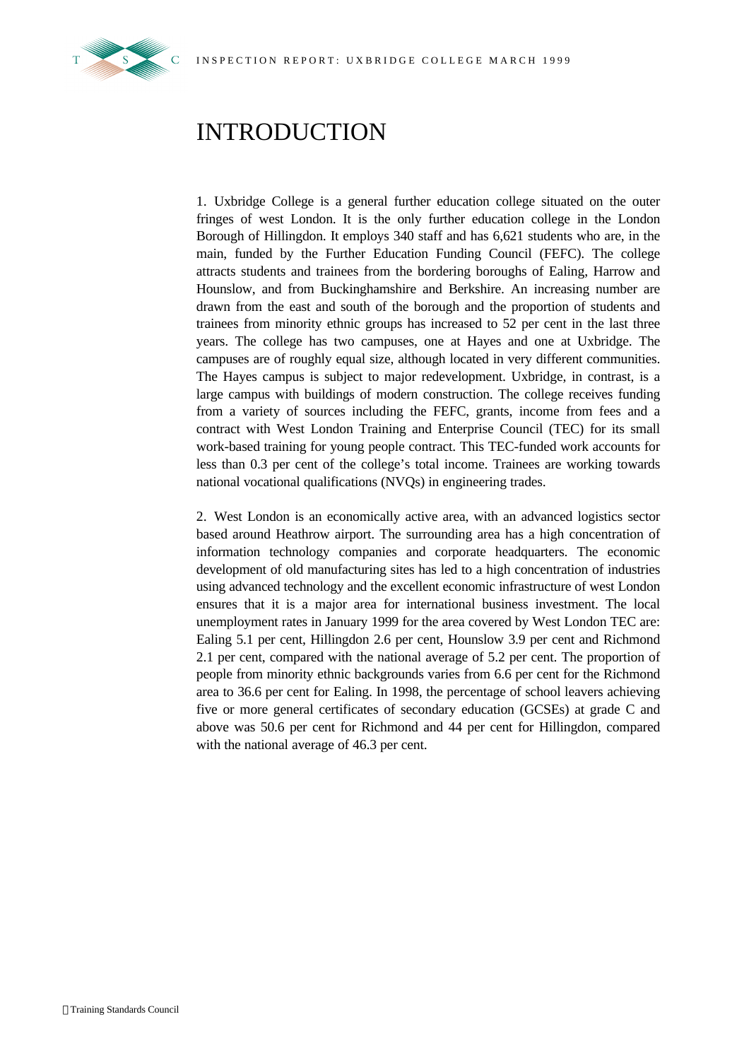

## INTRODUCTION

1. Uxbridge College is a general further education college situated on the outer fringes of west London. It is the only further education college in the London Borough of Hillingdon. It employs 340 staff and has 6,621 students who are, in the main, funded by the Further Education Funding Council (FEFC). The college attracts students and trainees from the bordering boroughs of Ealing, Harrow and Hounslow, and from Buckinghamshire and Berkshire. An increasing number are drawn from the east and south of the borough and the proportion of students and trainees from minority ethnic groups has increased to 52 per cent in the last three years. The college has two campuses, one at Hayes and one at Uxbridge. The campuses are of roughly equal size, although located in very different communities. The Hayes campus is subject to major redevelopment. Uxbridge, in contrast, is a large campus with buildings of modern construction. The college receives funding from a variety of sources including the FEFC, grants, income from fees and a contract with West London Training and Enterprise Council (TEC) for its small work-based training for young people contract. This TEC-funded work accounts for less than 0.3 per cent of the college's total income. Trainees are working towards national vocational qualifications (NVQs) in engineering trades.

2. West London is an economically active area, with an advanced logistics sector based around Heathrow airport. The surrounding area has a high concentration of information technology companies and corporate headquarters. The economic development of old manufacturing sites has led to a high concentration of industries using advanced technology and the excellent economic infrastructure of west London ensures that it is a major area for international business investment. The local unemployment rates in January 1999 for the area covered by West London TEC are: Ealing 5.1 per cent, Hillingdon 2.6 per cent, Hounslow 3.9 per cent and Richmond 2.1 per cent, compared with the national average of 5.2 per cent. The proportion of people from minority ethnic backgrounds varies from 6.6 per cent for the Richmond area to 36.6 per cent for Ealing. In 1998, the percentage of school leavers achieving five or more general certificates of secondary education (GCSEs) at grade C and above was 50.6 per cent for Richmond and 44 per cent for Hillingdon, compared with the national average of 46.3 per cent.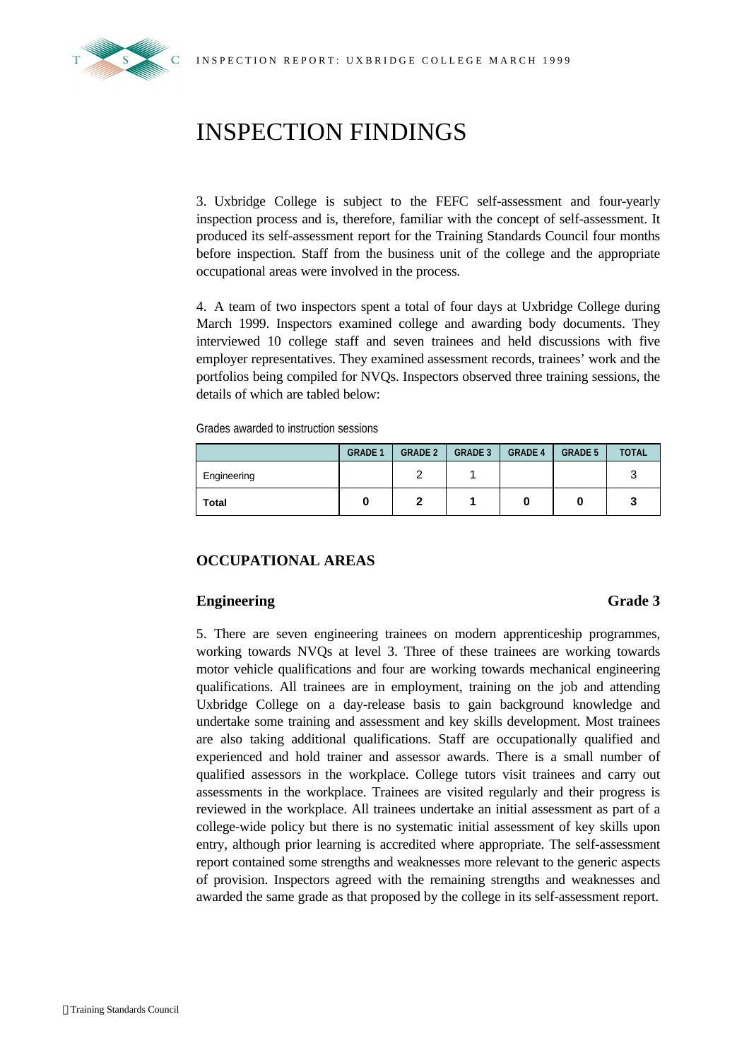

## INSPECTION FINDINGS

3. Uxbridge College is subject to the FEFC self-assessment and four-yearly inspection process and is, therefore, familiar with the concept of self-assessment. It produced its self-assessment report for the Training Standards Council four months before inspection. Staff from the business unit of the college and the appropriate occupational areas were involved in the process.

4. A team of two inspectors spent a total of four days at Uxbridge College during March 1999. Inspectors examined college and awarding body documents. They interviewed 10 college staff and seven trainees and held discussions with five employer representatives. They examined assessment records, trainees' work and the portfolios being compiled for NVQs. Inspectors observed three training sessions, the details of which are tabled below:

Grades awarded to instruction sessions

|              | <b>GRADE 1</b> | <b>GRADE 2</b> | <b>GRADE 3</b> | <b>GRADE 4</b> | <b>GRADE 5</b> | <b>TOTAL</b> |
|--------------|----------------|----------------|----------------|----------------|----------------|--------------|
| Engineering  |                | c              |                |                |                | ╭            |
| <b>Total</b> |                |                |                |                |                | w            |

### **OCCUPATIONAL AREAS**

### **Engineering Grade 3**

5. There are seven engineering trainees on modern apprenticeship programmes, working towards NVQs at level 3. Three of these trainees are working towards motor vehicle qualifications and four are working towards mechanical engineering qualifications. All trainees are in employment, training on the job and attending Uxbridge College on a day-release basis to gain background knowledge and undertake some training and assessment and key skills development. Most trainees are also taking additional qualifications. Staff are occupationally qualified and experienced and hold trainer and assessor awards. There is a small number of qualified assessors in the workplace. College tutors visit trainees and carry out assessments in the workplace. Trainees are visited regularly and their progress is reviewed in the workplace. All trainees undertake an initial assessment as part of a college-wide policy but there is no systematic initial assessment of key skills upon entry, although prior learning is accredited where appropriate. The self-assessment report contained some strengths and weaknesses more relevant to the generic aspects of provision. Inspectors agreed with the remaining strengths and weaknesses and awarded the same grade as that proposed by the college in its self-assessment report.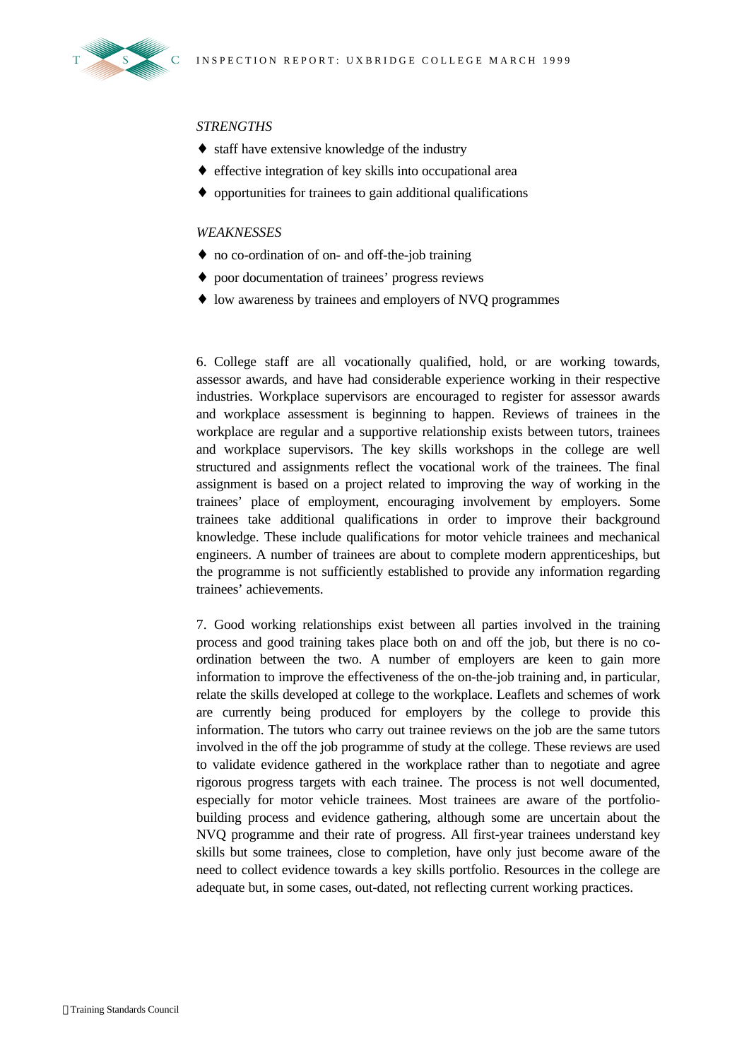

#### *STRENGTHS*

- ♦ staff have extensive knowledge of the industry
- ♦ effective integration of key skills into occupational area
- ♦ opportunities for trainees to gain additional qualifications

#### *WEAKNESSES*

- ♦ no co-ordination of on- and off-the-job training
- ♦ poor documentation of trainees' progress reviews
- ♦ low awareness by trainees and employers of NVQ programmes

6. College staff are all vocationally qualified, hold, or are working towards, assessor awards, and have had considerable experience working in their respective industries. Workplace supervisors are encouraged to register for assessor awards and workplace assessment is beginning to happen. Reviews of trainees in the workplace are regular and a supportive relationship exists between tutors, trainees and workplace supervisors. The key skills workshops in the college are well structured and assignments reflect the vocational work of the trainees. The final assignment is based on a project related to improving the way of working in the trainees' place of employment, encouraging involvement by employers. Some trainees take additional qualifications in order to improve their background knowledge. These include qualifications for motor vehicle trainees and mechanical engineers. A number of trainees are about to complete modern apprenticeships, but the programme is not sufficiently established to provide any information regarding trainees' achievements.

7. Good working relationships exist between all parties involved in the training process and good training takes place both on and off the job, but there is no coordination between the two. A number of employers are keen to gain more information to improve the effectiveness of the on-the-job training and, in particular, relate the skills developed at college to the workplace. Leaflets and schemes of work are currently being produced for employers by the college to provide this information. The tutors who carry out trainee reviews on the job are the same tutors involved in the off the job programme of study at the college. These reviews are used to validate evidence gathered in the workplace rather than to negotiate and agree rigorous progress targets with each trainee. The process is not well documented, especially for motor vehicle trainees. Most trainees are aware of the portfoliobuilding process and evidence gathering, although some are uncertain about the NVQ programme and their rate of progress. All first-year trainees understand key skills but some trainees, close to completion, have only just become aware of the need to collect evidence towards a key skills portfolio. Resources in the college are adequate but, in some cases, out-dated, not reflecting current working practices.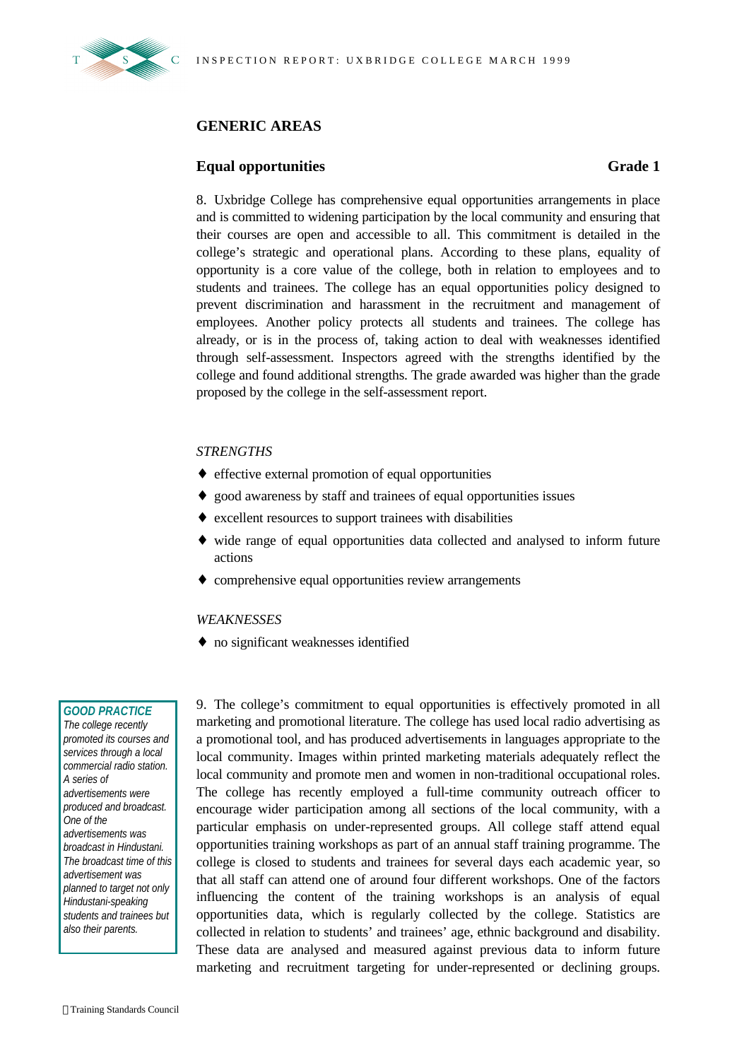

### **GENERIC AREAS**

#### **Equal opportunities Grade 1**

8. Uxbridge College has comprehensive equal opportunities arrangements in place and is committed to widening participation by the local community and ensuring that their courses are open and accessible to all. This commitment is detailed in the college's strategic and operational plans. According to these plans, equality of opportunity is a core value of the college, both in relation to employees and to students and trainees. The college has an equal opportunities policy designed to prevent discrimination and harassment in the recruitment and management of employees. Another policy protects all students and trainees. The college has already, or is in the process of, taking action to deal with weaknesses identified through self-assessment. Inspectors agreed with the strengths identified by the college and found additional strengths. The grade awarded was higher than the grade proposed by the college in the self-assessment report.

#### *STRENGTHS*

- ♦ effective external promotion of equal opportunities
- ♦ good awareness by staff and trainees of equal opportunities issues
- ♦ excellent resources to support trainees with disabilities
- ♦ wide range of equal opportunities data collected and analysed to inform future actions
- ♦ comprehensive equal opportunities review arrangements

#### *WEAKNESSES*

♦ no significant weaknesses identified

#### *GOOD PRACTICE*

*The college recently promoted its courses and services through a local commercial radio station. A series of advertisements were produced and broadcast. One of the advertisements was broadcast in Hindustani. The broadcast time of this advertisement was planned to target not only Hindustani-speaking students and trainees but also their parents.*

9. The college's commitment to equal opportunities is effectively promoted in all marketing and promotional literature. The college has used local radio advertising as a promotional tool, and has produced advertisements in languages appropriate to the local community. Images within printed marketing materials adequately reflect the local community and promote men and women in non-traditional occupational roles. The college has recently employed a full-time community outreach officer to encourage wider participation among all sections of the local community, with a particular emphasis on under-represented groups. All college staff attend equal opportunities training workshops as part of an annual staff training programme. The college is closed to students and trainees for several days each academic year, so that all staff can attend one of around four different workshops. One of the factors influencing the content of the training workshops is an analysis of equal opportunities data, which is regularly collected by the college. Statistics are collected in relation to students' and trainees' age, ethnic background and disability. These data are analysed and measured against previous data to inform future marketing and recruitment targeting for under-represented or declining groups.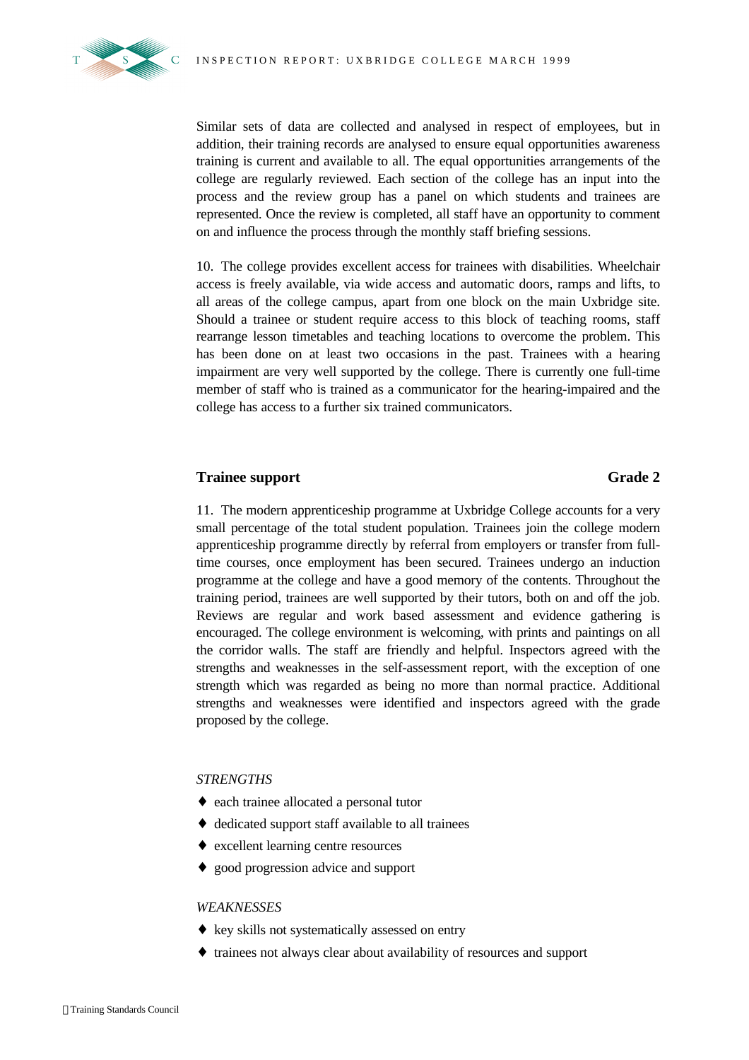

Similar sets of data are collected and analysed in respect of employees, but in addition, their training records are analysed to ensure equal opportunities awareness training is current and available to all. The equal opportunities arrangements of the college are regularly reviewed. Each section of the college has an input into the process and the review group has a panel on which students and trainees are represented. Once the review is completed, all staff have an opportunity to comment on and influence the process through the monthly staff briefing sessions.

10. The college provides excellent access for trainees with disabilities. Wheelchair access is freely available, via wide access and automatic doors, ramps and lifts, to all areas of the college campus, apart from one block on the main Uxbridge site. Should a trainee or student require access to this block of teaching rooms, staff rearrange lesson timetables and teaching locations to overcome the problem. This has been done on at least two occasions in the past. Trainees with a hearing impairment are very well supported by the college. There is currently one full-time member of staff who is trained as a communicator for the hearing-impaired and the college has access to a further six trained communicators.

#### **Trainee support Grade 2**

11. The modern apprenticeship programme at Uxbridge College accounts for a very small percentage of the total student population. Trainees join the college modern apprenticeship programme directly by referral from employers or transfer from fulltime courses, once employment has been secured. Trainees undergo an induction programme at the college and have a good memory of the contents. Throughout the training period, trainees are well supported by their tutors, both on and off the job. Reviews are regular and work based assessment and evidence gathering is encouraged. The college environment is welcoming, with prints and paintings on all the corridor walls. The staff are friendly and helpful. Inspectors agreed with the strengths and weaknesses in the self-assessment report, with the exception of one strength which was regarded as being no more than normal practice. Additional strengths and weaknesses were identified and inspectors agreed with the grade proposed by the college.

#### *STRENGTHS*

- ♦ each trainee allocated a personal tutor
- ♦ dedicated support staff available to all trainees
- ♦ excellent learning centre resources
- ♦ good progression advice and support

#### *WEAKNESSES*

- ♦ key skills not systematically assessed on entry
- ♦ trainees not always clear about availability of resources and support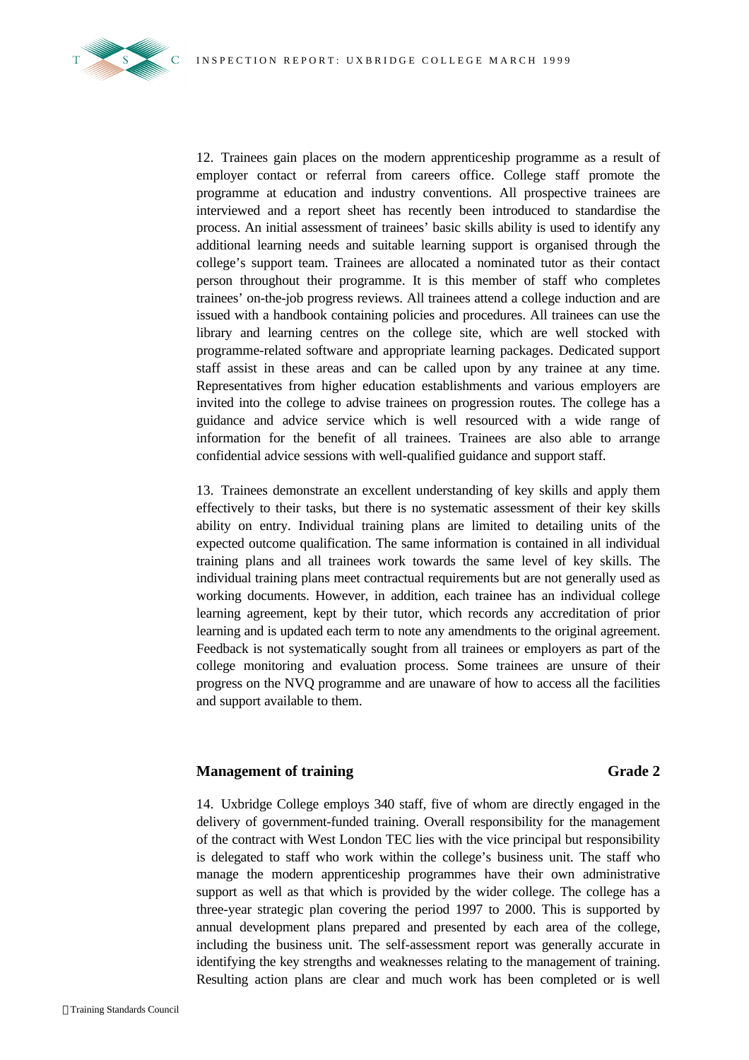

12. Trainees gain places on the modern apprenticeship programme as a result of employer contact or referral from careers office. College staff promote the programme at education and industry conventions. All prospective trainees are interviewed and a report sheet has recently been introduced to standardise the process. An initial assessment of trainees' basic skills ability is used to identify any additional learning needs and suitable learning support is organised through the college's support team. Trainees are allocated a nominated tutor as their contact person throughout their programme. It is this member of staff who completes trainees' on-the-job progress reviews. All trainees attend a college induction and are issued with a handbook containing policies and procedures. All trainees can use the library and learning centres on the college site, which are well stocked with programme-related software and appropriate learning packages. Dedicated support staff assist in these areas and can be called upon by any trainee at any time. Representatives from higher education establishments and various employers are invited into the college to advise trainees on progression routes. The college has a guidance and advice service which is well resourced with a wide range of information for the benefit of all trainees. Trainees are also able to arrange confidential advice sessions with well-qualified guidance and support staff.

13. Trainees demonstrate an excellent understanding of key skills and apply them effectively to their tasks, but there is no systematic assessment of their key skills ability on entry. Individual training plans are limited to detailing units of the expected outcome qualification. The same information is contained in all individual training plans and all trainees work towards the same level of key skills. The individual training plans meet contractual requirements but are not generally used as working documents. However, in addition, each trainee has an individual college learning agreement, kept by their tutor, which records any accreditation of prior learning and is updated each term to note any amendments to the original agreement. Feedback is not systematically sought from all trainees or employers as part of the college monitoring and evaluation process. Some trainees are unsure of their progress on the NVQ programme and are unaware of how to access all the facilities and support available to them.

#### **Management of training Grade 2**

14. Uxbridge College employs 340 staff, five of whom are directly engaged in the delivery of government-funded training. Overall responsibility for the management of the contract with West London TEC lies with the vice principal but responsibility is delegated to staff who work within the college's business unit. The staff who manage the modern apprenticeship programmes have their own administrative support as well as that which is provided by the wider college. The college has a three-year strategic plan covering the period 1997 to 2000. This is supported by annual development plans prepared and presented by each area of the college, including the business unit. The self-assessment report was generally accurate in identifying the key strengths and weaknesses relating to the management of training. Resulting action plans are clear and much work has been completed or is well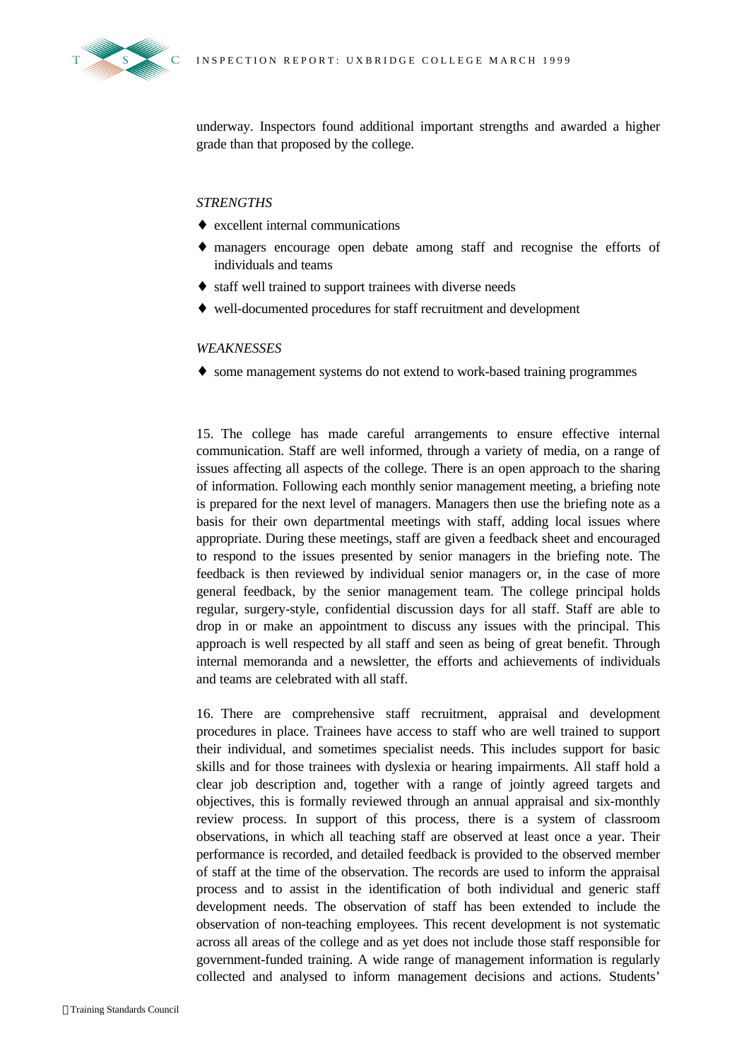



underway. Inspectors found additional important strengths and awarded a higher grade than that proposed by the college.

#### *STRENGTHS*

- ♦ excellent internal communications
- ♦ managers encourage open debate among staff and recognise the efforts of individuals and teams
- ♦ staff well trained to support trainees with diverse needs
- ♦ well-documented procedures for staff recruitment and development

#### *WEAKNESSES*

♦ some management systems do not extend to work-based training programmes

15. The college has made careful arrangements to ensure effective internal communication. Staff are well informed, through a variety of media, on a range of issues affecting all aspects of the college. There is an open approach to the sharing of information. Following each monthly senior management meeting, a briefing note is prepared for the next level of managers. Managers then use the briefing note as a basis for their own departmental meetings with staff, adding local issues where appropriate. During these meetings, staff are given a feedback sheet and encouraged to respond to the issues presented by senior managers in the briefing note. The feedback is then reviewed by individual senior managers or, in the case of more general feedback, by the senior management team. The college principal holds regular, surgery-style, confidential discussion days for all staff. Staff are able to drop in or make an appointment to discuss any issues with the principal. This approach is well respected by all staff and seen as being of great benefit. Through internal memoranda and a newsletter, the efforts and achievements of individuals and teams are celebrated with all staff.

16. There are comprehensive staff recruitment, appraisal and development procedures in place. Trainees have access to staff who are well trained to support their individual, and sometimes specialist needs. This includes support for basic skills and for those trainees with dyslexia or hearing impairments. All staff hold a clear job description and, together with a range of jointly agreed targets and objectives, this is formally reviewed through an annual appraisal and six-monthly review process. In support of this process, there is a system of classroom observations, in which all teaching staff are observed at least once a year. Their performance is recorded, and detailed feedback is provided to the observed member of staff at the time of the observation. The records are used to inform the appraisal process and to assist in the identification of both individual and generic staff development needs. The observation of staff has been extended to include the observation of non-teaching employees. This recent development is not systematic across all areas of the college and as yet does not include those staff responsible for government-funded training. A wide range of management information is regularly collected and analysed to inform management decisions and actions. Students'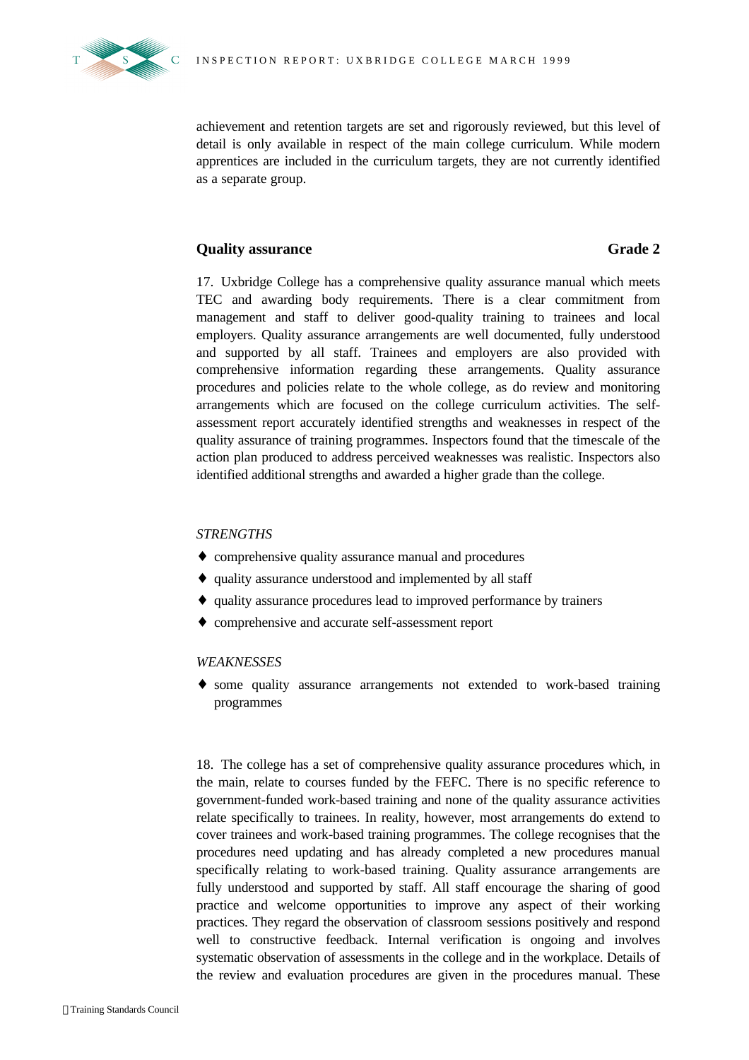

achievement and retention targets are set and rigorously reviewed, but this level of detail is only available in respect of the main college curriculum. While modern apprentices are included in the curriculum targets, they are not currently identified as a separate group.

### **Cality assurance Grade 2**

17. Uxbridge College has a comprehensive quality assurance manual which meets TEC and awarding body requirements. There is a clear commitment from management and staff to deliver good-quality training to trainees and local employers. Quality assurance arrangements are well documented, fully understood and supported by all staff. Trainees and employers are also provided with comprehensive information regarding these arrangements. Quality assurance procedures and policies relate to the whole college, as do review and monitoring arrangements which are focused on the college curriculum activities. The selfassessment report accurately identified strengths and weaknesses in respect of the quality assurance of training programmes. Inspectors found that the timescale of the action plan produced to address perceived weaknesses was realistic. Inspectors also identified additional strengths and awarded a higher grade than the college.

#### *STRENGTHS*

- ♦ comprehensive quality assurance manual and procedures
- ♦ quality assurance understood and implemented by all staff
- ♦ quality assurance procedures lead to improved performance by trainers
- ♦ comprehensive and accurate self-assessment report

#### *WEAKNESSES*

♦ some quality assurance arrangements not extended to work-based training programmes

18. The college has a set of comprehensive quality assurance procedures which, in the main, relate to courses funded by the FEFC. There is no specific reference to government-funded work-based training and none of the quality assurance activities relate specifically to trainees. In reality, however, most arrangements do extend to cover trainees and work-based training programmes. The college recognises that the procedures need updating and has already completed a new procedures manual specifically relating to work-based training. Quality assurance arrangements are fully understood and supported by staff. All staff encourage the sharing of good practice and welcome opportunities to improve any aspect of their working practices. They regard the observation of classroom sessions positively and respond well to constructive feedback. Internal verification is ongoing and involves systematic observation of assessments in the college and in the workplace. Details of the review and evaluation procedures are given in the procedures manual. These